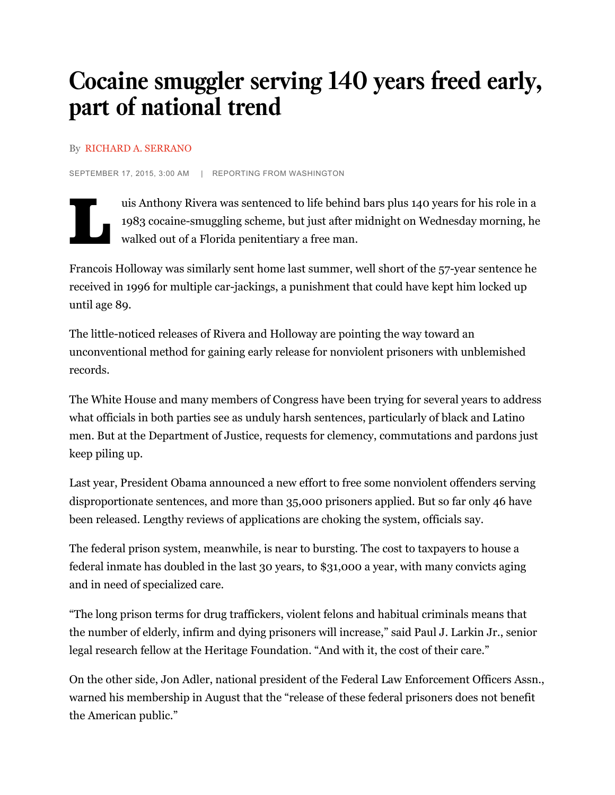# Cocaine smuggler serving 140 years freed early, part of national trend

#### By RICHARD A. SERRANO

SEPTEMBER 17, 2015, 3:00 AM | REPORTING FROM WASHINGTON



uis Anthony Rivera was sentenced to life behind bars plus 140 years for his role in a 1983 cocaine-smuggling scheme, but just after midnight on Wednesday morning, he walked out of a Florida penitentiary a free man.

Francois Holloway was similarly sent home last summer, well short of the 57-year sentence he received in 1996 for multiple car-jackings, a punishment that could have kept him locked up until age 89.

The little-noticed releases of Rivera and Holloway are pointing the way toward an unconventional method for gaining early release for nonviolent prisoners with unblemished records.

The White House and many members of Congress have been trying for several years to address what officials in both parties see as unduly harsh sentences, particularly of black and Latino men. But at the Department of Justice, requests for clemency, commutations and pardons just keep piling up.

Last year, President Obama announced a new effort to free some nonviolent offenders serving disproportionate sentences, and more than 35,000 prisoners applied. But so far only 46 have been released. Lengthy reviews of applications are choking the system, officials say.

The federal prison system, meanwhile, is near to bursting. The cost to taxpayers to house a federal inmate has doubled in the last 30 years, to \$31,000 a year, with many convicts aging and in need of specialized care.

"The long prison terms for drug traffickers, violent felons and habitual criminals means that the number of elderly, infirm and dying prisoners will increase," said Paul J. Larkin Jr., senior legal research fellow at the Heritage Foundation. "And with it, the cost of their care."

On the other side, Jon Adler, national president of the Federal Law Enforcement Officers Assn., warned his membership in August that the "release of these federal prisoners does not benefit the American public."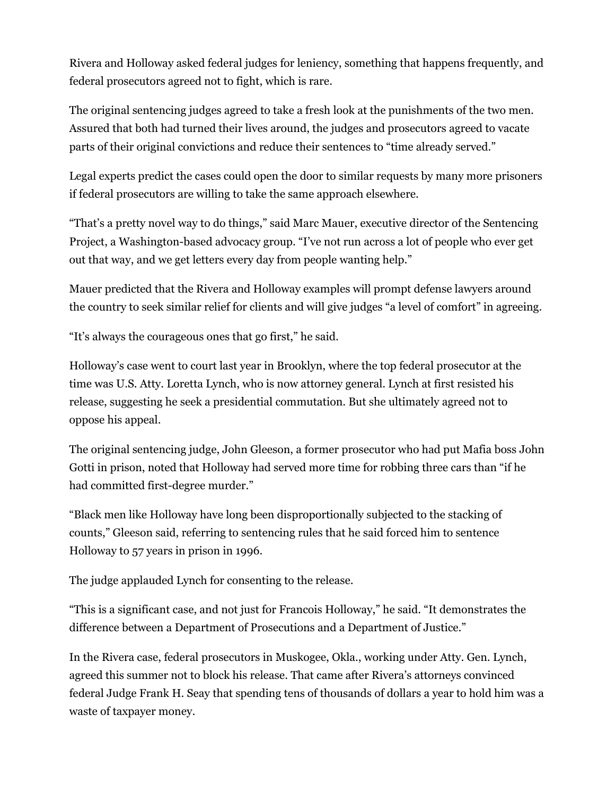Rivera and Holloway asked federal judges for leniency, something that happens frequently, and federal prosecutors agreed not to fight, which is rare.

The original sentencing judges agreed to take a fresh look at the punishments of the two men. Assured that both had turned their lives around, the judges and prosecutors agreed to vacate parts of their original convictions and reduce their sentences to "time already served."

Legal experts predict the cases could open the door to similar requests by many more prisoners if federal prosecutors are willing to take the same approach elsewhere.

"That's a pretty novel way to do things," said Marc Mauer, executive director of the Sentencing Project, a Washington-based advocacy group. "I've not run across a lot of people who ever get out that way, and we get letters every day from people wanting help."

Mauer predicted that the Rivera and Holloway examples will prompt defense lawyers around the country to seek similar relief for clients and will give judges "a level of comfort" in agreeing.

"It's always the courageous ones that go first," he said.

Holloway's case went to court last year in Brooklyn, where the top federal prosecutor at the time was U.S. Atty. Loretta Lynch, who is now attorney general. Lynch at first resisted his release, suggesting he seek a presidential commutation. But she ultimately agreed not to oppose his appeal.

The original sentencing judge, John Gleeson, a former prosecutor who had put Mafia boss John Gotti in prison, noted that Holloway had served more time for robbing three cars than "if he had committed first-degree murder."

"Black men like Holloway have long been disproportionally subjected to the stacking of counts," Gleeson said, referring to sentencing rules that he said forced him to sentence Holloway to 57 years in prison in 1996.

The judge applauded Lynch for consenting to the release.

"This is a significant case, and not just for Francois Holloway," he said. "It demonstrates the difference between a Department of Prosecutions and a Department of Justice."

In the Rivera case, federal prosecutors in Muskogee, Okla., working under Atty. Gen. Lynch, agreed this summer not to block his release. That came after Rivera's attorneys convinced federal Judge Frank H. Seay that spending tens of thousands of dollars a year to hold him was a waste of taxpayer money.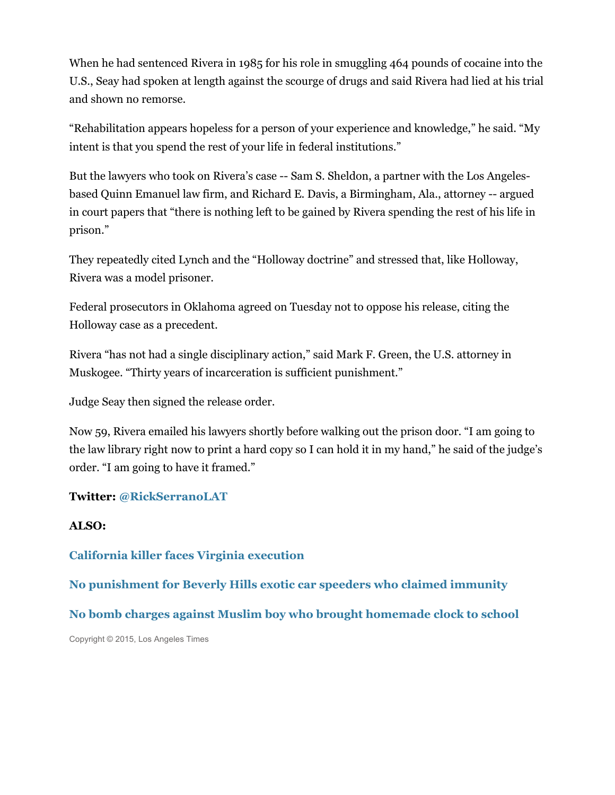When he had sentenced Rivera in 1985 for his role in smuggling 464 pounds of cocaine into the U.S., Seay had spoken at length against the scourge of drugs and said Rivera had lied at his trial and shown no remorse.

"Rehabilitation appears hopeless for a person of your experience and knowledge," he said. "My intent is that you spend the rest of your life in federal institutions."

But the lawyers who took on Rivera's case -- Sam S. Sheldon, a partner with the Los Angelesbased Quinn Emanuel law firm, and Richard E. Davis, a Birmingham, Ala., attorney -- argued in court papers that "there is nothing left to be gained by Rivera spending the rest of his life in prison."

They repeatedly cited Lynch and the "Holloway doctrine" and stressed that, like Holloway, Rivera was a model prisoner.

Federal prosecutors in Oklahoma agreed on Tuesday not to oppose his release, citing the Holloway case as a precedent.

Rivera "has not had a single disciplinary action," said Mark F. Green, the U.S. attorney in Muskogee. "Thirty years of incarceration is sufficient punishment."

Judge Seay then signed the release order.

Now 59, Rivera emailed his lawyers shortly before walking out the prison door. "I am going to the law library right now to print a hard copy so I can hold it in my hand," he said of the judge's order. "I am going to have it framed."

### **Twitter: @RickSerranoLAT**

#### **ALSO:**

**California killer faces Virginia execution**

**No punishment for Beverly Hills exotic car speeders who claimed immunity**

**No bomb charges against Muslim boy who brought homemade clock to school**

Copyright © 2015, Los Angeles Times